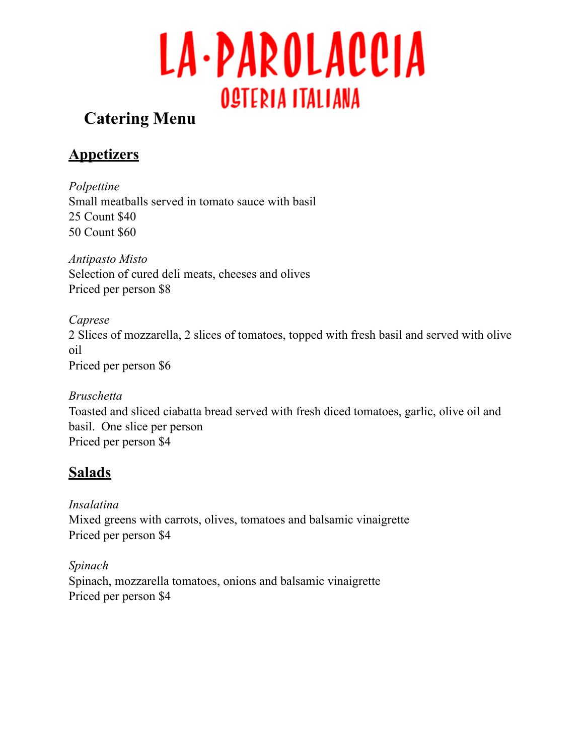

# **Catering Menu**

# **Appetizers**

*Polpettine*  Small meatballs served in tomato sauce with basil 25 Count \$40 50 Count \$60

*Antipasto Misto* Selection of cured deli meats, cheeses and olives Priced per person \$8

*Caprese* 2 Slices of mozzarella, 2 slices of tomatoes, topped with fresh basil and served with olive oil Priced per person \$6

*Bruschetta* Toasted and sliced ciabatta bread served with fresh diced tomatoes, garlic, olive oil and basil. One slice per person Priced per person \$4

# **Salads**

*Insalatina* Mixed greens with carrots, olives, tomatoes and balsamic vinaigrette Priced per person \$4

*Spinach* Spinach, mozzarella tomatoes, onions and balsamic vinaigrette Priced per person \$4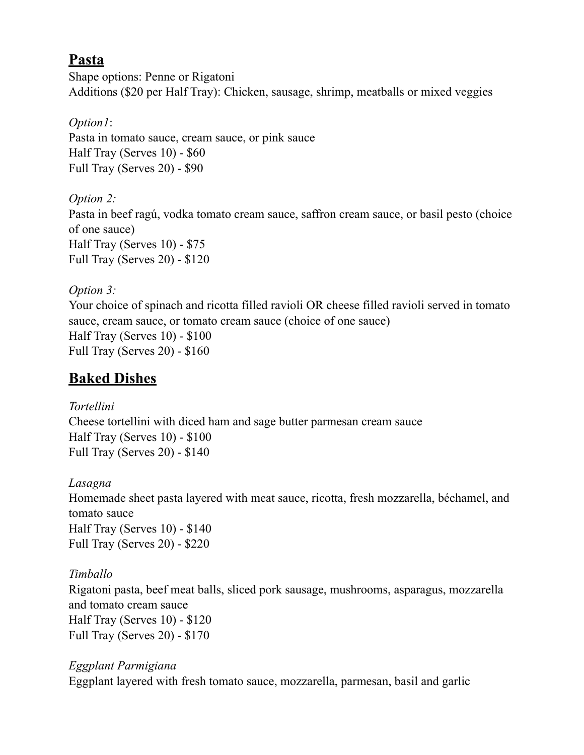### **Pasta**

Shape options: Penne or Rigatoni Additions (\$20 per Half Tray): Chicken, sausage, shrimp, meatballs or mixed veggies

#### *Option1*:

Pasta in tomato sauce, cream sauce, or pink sauce Half Tray (Serves 10) - \$60 Full Tray (Serves 20) - \$90

#### *Option 2:*

Pasta in beef ragú, vodka tomato cream sauce, saffron cream sauce, or basil pesto (choice of one sauce) Half Tray (Serves 10) - \$75 Full Tray (Serves 20) - \$120

#### *Option 3:*

Your choice of spinach and ricotta filled ravioli OR cheese filled ravioli served in tomato sauce, cream sauce, or tomato cream sauce (choice of one sauce) Half Tray (Serves 10) - \$100 Full Tray (Serves 20) - \$160

# **Baked Dishes**

#### *Tortellini*

Cheese tortellini with diced ham and sage butter parmesan cream sauce Half Tray (Serves 10) - \$100 Full Tray (Serves 20) - \$140

#### *Lasagna*

Homemade sheet pasta layered with meat sauce, ricotta, fresh mozzarella, béchamel, and tomato sauce Half Tray (Serves 10) - \$140 Full Tray (Serves 20) - \$220

#### *Timballo*

Rigatoni pasta, beef meat balls, sliced pork sausage, mushrooms, asparagus, mozzarella and tomato cream sauce Half Tray (Serves 10) - \$120 Full Tray (Serves 20) - \$170

#### *Eggplant Parmigiana*  Eggplant layered with fresh tomato sauce, mozzarella, parmesan, basil and garlic